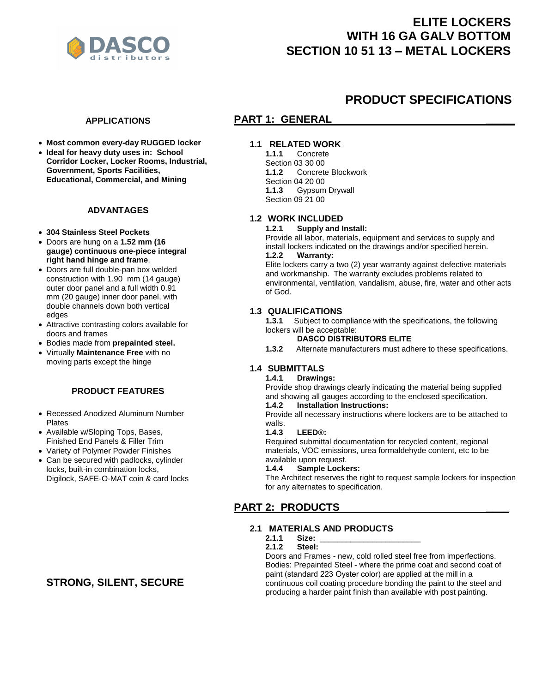

# **ELITE LOCKERS WITH 16 GA GALV BOTTOM SECTION 10 51 13 – METAL LOCKERS**

**PRODUCT SPECIFICATIONS** 

# **APPLICATIONS**

- **Most common every-day RUGGED locker**
- **Ideal for heavy duty uses in: School Corridor Locker, Locker Rooms, Industrial, Government, Sports Facilities, Educational, Commercial, and Mining**

# **ADVANTAGES**

- **304 Stainless Steel Pockets**
- Doors are hung on a **1.52 mm (16 gauge) continuous one-piece integral right hand hinge and frame**.
- Doors are full double-pan box welded construction with 1.90 mm (14 gauge) outer door panel and a full width 0.91 mm (20 gauge) inner door panel, with double channels down both vertical edges
- Attractive contrasting colors available for doors and frames
- Bodies made from **prepainted steel.**
- Virtually **Maintenance Free** with no moving parts except the hinge

# **PRODUCT FEATURES**

- Recessed Anodized Aluminum Number **Plates**
- Available w/Sloping Tops, Bases, Finished End Panels & Filler Trim
- Variety of Polymer Powder Finishes
- Can be secured with padlocks, cylinder locks, built-in combination locks, Digilock, SAFE-O-MAT coin & card locks

# **STRONG, SILENT, SECURE**

# **PART 1: GENERAL**

# **1.1 RELATED WORK**

**1.1.1** Concrete Section 03 30 00 **1.1.2** Concrete Blockwork Section 04 20 00<br>**1.1.3** Gypsum **1.1.3** Gypsum Drywall Section 09 21 00

# **1.2 WORK INCLUDED**

#### **1.2.1 Supply and Install:**

Provide all labor, materials, equipment and services to supply and install lockers indicated on the drawings and/or specified herein. **1.2.2 Warranty:**

Elite lockers carry a two (2) year warranty against defective materials and workmanship. The warranty excludes problems related to environmental, ventilation, vandalism, abuse, fire, water and other acts of God.

# **1.3 QUALIFICATIONS**

**1.3.1** Subject to compliance with the specifications, the following lockers will be acceptable:

# **DASCO DISTRIBUTORS ELITE**

**1.3.2** Alternate manufacturers must adhere to these specifications.

# **1.4 SUBMITTALS**

#### **1.4.1 Drawings:**

Provide shop drawings clearly indicating the material being supplied and showing all gauges according to the enclosed specification.<br>1.4.2 Installation Instructions:

# **1.4.2 Installation Instructions:**

Provide all necessary instructions where lockers are to be attached to walls.<br>**1.4.3** 

#### **1.4.3 LEED®:**

Required submittal documentation for recycled content, regional materials, VOC emissions, urea formaldehyde content, etc to be available upon request.

#### **1.4.4 Sample Lockers:**

The Architect reserves the right to request sample lockers for inspection for any alternates to specification.

# **PART 2: PRODUCTS \_\_\_\_**

# **2.1 MATERIALS AND PRODUCTS**

# **2.1.1 Size:** \_\_\_\_\_\_\_\_\_\_\_\_\_\_\_\_\_\_\_\_\_\_\_

#### **2.1.2 Steel:**

Doors and Frames - new, cold rolled steel free from imperfections. Bodies: Prepainted Steel - where the prime coat and second coat of paint (standard 223 Oyster color) are applied at the mill in a continuous coil coating procedure bonding the paint to the steel and producing a harder paint finish than available with post painting.